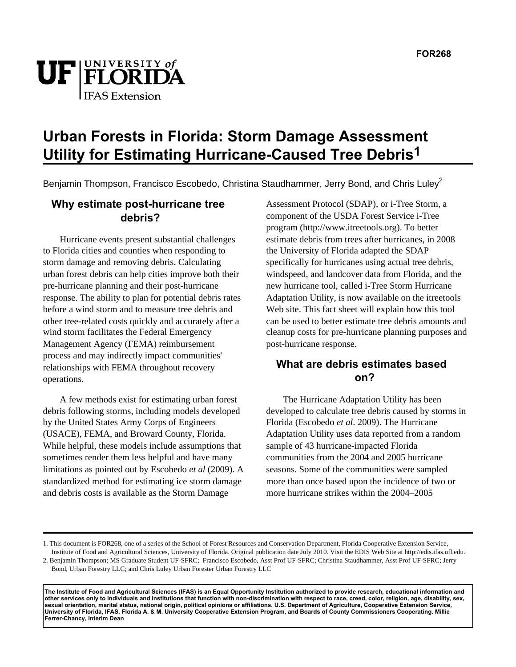

# **Urban Forests in Florida: Storm Damage Assessment Utility for Estimating Hurricane-Caused Tree Debris1**

Benjamin Thompson, Francisco Escobedo, Christina Staudhammer, Jerry Bond, and Chris Luley<sup>2</sup>

# **Why estimate post-hurricane tree debris?**

Hurricane events present substantial challenges to Florida cities and counties when responding to storm damage and removing debris. Calculating urban forest debris can help cities improve both their pre-hurricane planning and their post-hurricane response. The ability to plan for potential debris rates before a wind storm and to measure tree debris and other tree-related costs quickly and accurately after a wind storm facilitates the Federal Emergency Management Agency (FEMA) reimbursement process and may indirectly impact communities' relationships with FEMA throughout recovery operations.

A few methods exist for estimating urban forest debris following storms, including models developed by the United States Army Corps of Engineers (USACE), FEMA, and Broward County, Florida. While helpful, these models include assumptions that sometimes render them less helpful and have many limitations as pointed out by Escobedo *et al* (2009). A standardized method for estimating ice storm damage and debris costs is available as the Storm Damage

Assessment Protocol (SDAP), or i-Tree Storm, a component of the USDA Forest Service i-Tree program (http://www.itreetools.org). To better estimate debris from trees after hurricanes, in 2008 the University of Florida adapted the SDAP specifically for hurricanes using actual tree debris, windspeed, and landcover data from Florida, and the new hurricane tool, called i-Tree Storm Hurricane Adaptation Utility, is now available on the itreetools Web site. This fact sheet will explain how this tool can be used to better estimate tree debris amounts and cleanup costs for pre-hurricane planning purposes and post-hurricane response.

## **What are debris estimates based on?**

The Hurricane Adaptation Utility has been developed to calculate tree debris caused by storms in Florida (Escobedo *et al*. 2009). The Hurricane Adaptation Utility uses data reported from a random sample of 43 hurricane-impacted Florida communities from the 2004 and 2005 hurricane seasons. Some of the communities were sampled more than once based upon the incidence of two or more hurricane strikes within the 2004–2005

**The Institute of Food and Agricultural Sciences (IFAS) is an Equal Opportunity Institution authorized to provide research, educational information and other services only to individuals and institutions that function with non-discrimination with respect to race, creed, color, religion, age, disability, sex, sexual orientation, marital status, national origin, political opinions or affiliations. U.S. Department of Agriculture, Cooperative Extension Service, University of Florida, IFAS, Florida A. & M. University Cooperative Extension Program, and Boards of County Commissioners Cooperating. Millie Ferrer-Chancy, Interim Dean**

<sup>1.</sup> This document is FOR268, one of a series of the School of Forest Resources and Conservation Department, Florida Cooperative Extension Service, Institute of Food and Agricultural Sciences, University of Florida. Original publication date July 2010. Visit the EDIS Web Site at http://edis.ifas.ufl.edu.

<sup>2.</sup> Benjamin Thompson; MS Graduate Student UF-SFRC; Francisco Escobedo, Asst Prof UF-SFRC; Christina Staudhammer, Asst Prof UF-SFRC; Jerry Bond, Urban Forestry LLC; and Chris Luley Urban Forester Urban Forestry LLC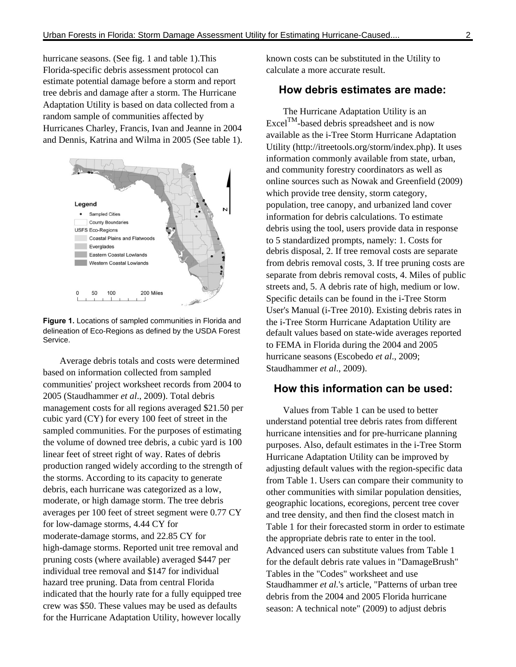hurricane seasons. (See fig. 1 and table 1).This Florida-specific debris assessment protocol can estimate potential damage before a storm and report tree debris and damage after a storm. The Hurricane Adaptation Utility is based on data collected from a random sample of communities affected by Hurricanes Charley, Francis, Ivan and Jeanne in 2004 and Dennis, Katrina and Wilma in 2005 (See table 1).



**Figure 1.** Locations of sampled communities in Florida and delineation of Eco-Regions as defined by the USDA Forest Service.

Average debris totals and costs were determined based on information collected from sampled communities' project worksheet records from 2004 to 2005 (Staudhammer *et al*., 2009). Total debris management costs for all regions averaged \$21.50 per cubic yard (CY) for every 100 feet of street in the sampled communities. For the purposes of estimating the volume of downed tree debris, a cubic yard is 100 linear feet of street right of way. Rates of debris production ranged widely according to the strength of the storms. According to its capacity to generate debris, each hurricane was categorized as a low, moderate, or high damage storm. The tree debris averages per 100 feet of street segment were 0.77 CY for low-damage storms, 4.44 CY for moderate-damage storms, and 22.85 CY for high-damage storms. Reported unit tree removal and pruning costs (where available) averaged \$447 per individual tree removal and \$147 for individual hazard tree pruning. Data from central Florida indicated that the hourly rate for a fully equipped tree crew was \$50. These values may be used as defaults for the Hurricane Adaptation Utility, however locally

known costs can be substituted in the Utility to calculate a more accurate result.

#### **How debris estimates are made:**

The Hurricane Adaptation Utility is an ExcelTM-based debris spreadsheet and is now available as the i-Tree Storm Hurricane Adaptation Utility (http://itreetools.org/storm/index.php). It uses information commonly available from state, urban, and community forestry coordinators as well as online sources such as Nowak and Greenfield (2009) which provide tree density, storm category, population, tree canopy, and urbanized land cover information for debris calculations. To estimate debris using the tool, users provide data in response to 5 standardized prompts, namely: 1. Costs for debris disposal, 2. If tree removal costs are separate from debris removal costs, 3. If tree pruning costs are separate from debris removal costs, 4. Miles of public streets and, 5. A debris rate of high, medium or low. Specific details can be found in the i-Tree Storm User's Manual (i-Tree 2010). Existing debris rates in the i-Tree Storm Hurricane Adaptation Utility are default values based on state-wide averages reported to FEMA in Florida during the 2004 and 2005 hurricane seasons (Escobedo *et al*., 2009; Staudhammer *et al*., 2009).

#### **How this information can be used:**

Values from Table 1 can be used to better understand potential tree debris rates from different hurricane intensities and for pre-hurricane planning purposes. Also, default estimates in the i-Tree Storm Hurricane Adaptation Utility can be improved by adjusting default values with the region-specific data from Table 1. Users can compare their community to other communities with similar population densities, geographic locations, ecoregions, percent tree cover and tree density, and then find the closest match in Table 1 for their forecasted storm in order to estimate the appropriate debris rate to enter in the tool. Advanced users can substitute values from Table 1 for the default debris rate values in "DamageBrush" Tables in the "Codes" worksheet and use Staudhammer *et al.*'s article, "Patterns of urban tree debris from the 2004 and 2005 Florida hurricane season: A technical note" (2009) to adjust debris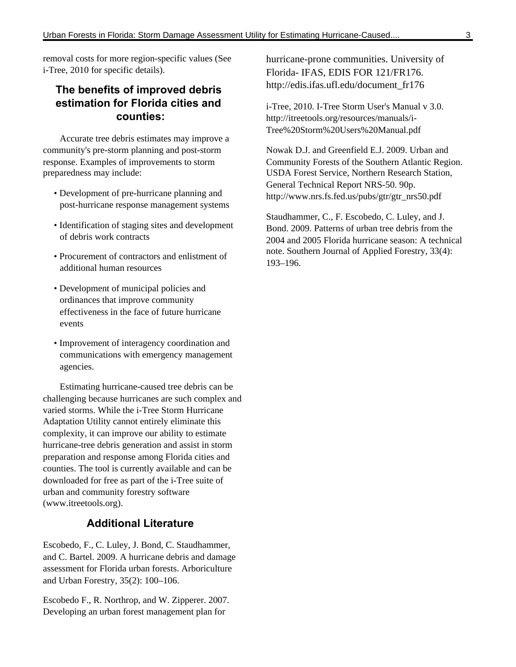removal costs for more region-specific values (See i-Tree, 2010 for specific details).

## **The benefits of improved debris estimation for Florida cities and counties:**

Accurate tree debris estimates may improve a community's pre-storm planning and post-storm response. Examples of improvements to storm preparedness may include:

- Development of pre-hurricane planning and post-hurricane response management systems
- Identification of staging sites and development of debris work contracts
- Procurement of contractors and enlistment of additional human resources
- Development of municipal policies and ordinances that improve community effectiveness in the face of future hurricane events
- Improvement of interagency coordination and communications with emergency management agencies.

Estimating hurricane-caused tree debris can be challenging because hurricanes are such complex and varied storms. While the i-Tree Storm Hurricane Adaptation Utility cannot entirely eliminate this complexity, it can improve our ability to estimate hurricane-tree debris generation and assist in storm preparation and response among Florida cities and counties. The tool is currently available and can be downloaded for free as part of the i-Tree suite of urban and community forestry software (www.itreetools.org).

## **Additional Literature**

Escobedo, F., C. Luley, J. Bond, C. Staudhammer, and C. Bartel. 2009. A hurricane debris and damage assessment for Florida urban forests. Arboriculture and Urban Forestry, 35(2): 100–106.

Escobedo F., R. Northrop, and W. Zipperer. 2007. Developing an urban forest management plan for

hurricane-prone communities. University of Florida- IFAS, EDIS FOR 121/FR176. http://edis.ifas.ufl.edu/document\_fr176

i-Tree, 2010. I-Tree Storm User's Manual v 3.0. http://itreetools.org/resources/manuals/i-Tree%20Storm%20Users%20Manual.pdf

Nowak D.J. and Greenfield E.J. 2009. Urban and Community Forests of the Southern Atlantic Region. USDA Forest Service, Northern Research Station, General Technical Report NRS-50. 90p. http://www.nrs.fs.fed.us/pubs/gtr/gtr\_nrs50.pdf

Staudhammer, C., F. Escobedo, C. Luley, and J. Bond. 2009. Patterns of urban tree debris from the 2004 and 2005 Florida hurricane season: A technical note. Southern Journal of Applied Forestry, 33(4): 193–196.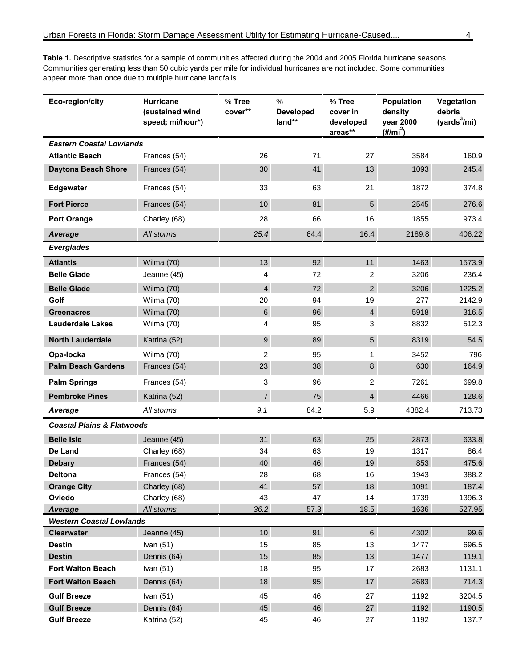**Table 1.** Descriptive statistics for a sample of communities affected during the 2004 and 2005 Florida hurricane seasons. Communities generating less than 50 cubic yards per mile for individual hurricanes are not included. Some communities appear more than once due to multiple hurricane landfalls.

| Eco-region/city                                   | <b>Hurricane</b><br>(sustained wind<br>speed; mi/hour*) | $%$ Tree<br>cover** | %<br><b>Developed</b><br>land** | % Tree<br>cover in<br>developed<br>areas** | <b>Population</b><br>density<br>year 2000<br>$(\#/\text{mi}^2)$ | Vegetation<br>debris<br>(yards $^3$ /mi) |  |  |  |  |
|---------------------------------------------------|---------------------------------------------------------|---------------------|---------------------------------|--------------------------------------------|-----------------------------------------------------------------|------------------------------------------|--|--|--|--|
| <b>Eastern Coastal Lowlands</b>                   |                                                         |                     |                                 |                                            |                                                                 |                                          |  |  |  |  |
| <b>Atlantic Beach</b>                             | Frances (54)                                            | 26                  | 71                              | 27                                         | 3584                                                            | 160.9                                    |  |  |  |  |
| <b>Daytona Beach Shore</b>                        | Frances (54)                                            | 30                  | 41                              | 13                                         | 1093                                                            | 245.4                                    |  |  |  |  |
| Edgewater                                         | Frances (54)                                            | 33                  | 63                              | 21                                         | 1872                                                            | 374.8                                    |  |  |  |  |
| <b>Fort Pierce</b>                                | Frances (54)                                            | 10                  | 81                              | 5                                          | 2545                                                            | 276.6                                    |  |  |  |  |
| <b>Port Orange</b>                                | Charley (68)                                            | 28                  | 66                              | 16                                         | 1855                                                            | 973.4                                    |  |  |  |  |
| Average                                           | All storms                                              | 25.4                | 64.4                            | 16.4                                       | 2189.8                                                          | 406.22                                   |  |  |  |  |
| <b>Everglades</b>                                 |                                                         |                     |                                 |                                            |                                                                 |                                          |  |  |  |  |
| <b>Atlantis</b>                                   | Wilma (70)                                              | 13                  | 92                              | 11                                         | 1463                                                            | 1573.9                                   |  |  |  |  |
| <b>Belle Glade</b>                                | Jeanne (45)                                             | 4                   | 72                              | 2                                          | 3206                                                            | 236.4                                    |  |  |  |  |
| <b>Belle Glade</b>                                | Wilma (70)                                              | $\overline{4}$      | 72                              | $\overline{2}$                             | 3206                                                            | 1225.2                                   |  |  |  |  |
| Golf                                              | Wilma (70)                                              | 20                  | 94                              | 19                                         | 277                                                             | 2142.9                                   |  |  |  |  |
| <b>Greenacres</b>                                 | Wilma (70)                                              | $\,6\,$             | 96                              | $\overline{4}$                             | 5918                                                            | 316.5                                    |  |  |  |  |
| <b>Lauderdale Lakes</b>                           | Wilma (70)                                              | 4                   | 95                              | 3                                          | 8832                                                            | 512.3                                    |  |  |  |  |
| <b>North Lauderdale</b>                           | Katrina (52)                                            | $\boldsymbol{9}$    | 89                              | 5                                          | 8319                                                            | 54.5                                     |  |  |  |  |
| Opa-locka                                         | Wilma (70)                                              | 2                   | 95                              | 1                                          | 3452                                                            | 796                                      |  |  |  |  |
| <b>Palm Beach Gardens</b>                         | Frances (54)                                            | 23                  | 38                              | $\,8\,$                                    | 630                                                             | 164.9                                    |  |  |  |  |
| <b>Palm Springs</b>                               | Frances (54)                                            | 3                   | 96                              | 2                                          | 7261                                                            | 699.8                                    |  |  |  |  |
| <b>Pembroke Pines</b>                             | Katrina (52)                                            | $\overline{7}$      | 75                              | $\overline{4}$                             | 4466                                                            | 128.6                                    |  |  |  |  |
| Average                                           | All storms                                              | 9.1                 | 84.2                            | 5.9                                        | 4382.4                                                          | 713.73                                   |  |  |  |  |
| <b>Coastal Plains &amp; Flatwoods</b>             |                                                         |                     |                                 |                                            |                                                                 |                                          |  |  |  |  |
| <b>Belle Isle</b>                                 | Jeanne (45)                                             | 31                  | 63                              | 25                                         | 2873                                                            | 633.8                                    |  |  |  |  |
| De Land                                           | Charley (68)                                            | 34                  | 63                              | 19                                         | 1317                                                            | 86.4                                     |  |  |  |  |
| <b>Debary</b>                                     | Frances (54)                                            | 40                  | 46                              | 19                                         | 853                                                             | 475.6                                    |  |  |  |  |
| <b>Deltona</b>                                    | Frances (54)                                            | 28                  | 68                              | 16                                         | 1943                                                            | 388.2                                    |  |  |  |  |
| <b>Orange City</b>                                | Charley (68)                                            | 41                  | 57                              | 18                                         | 1091                                                            | 187.4                                    |  |  |  |  |
| Oviedo                                            | Charley (68)                                            | 43                  | 47                              | 14                                         | 1739                                                            | 1396.3                                   |  |  |  |  |
| <b>Average</b><br><b>Western Coastal Lowlands</b> | All storms                                              | 36.2                | 57.3                            | 18.5                                       | 1636                                                            | 527.95                                   |  |  |  |  |
| Clearwater                                        | Jeanne (45)                                             | 10                  | 91                              | $6\phantom{1}$                             | 4302                                                            | 99.6                                     |  |  |  |  |
| <b>Destin</b>                                     | Ivan $(51)$                                             | 15                  | 85                              | 13                                         | 1477                                                            | 696.5                                    |  |  |  |  |
| <b>Destin</b>                                     | Dennis (64)                                             | 15 <sub>1</sub>     | 85                              | 13                                         | 1477                                                            | 119.1                                    |  |  |  |  |
| <b>Fort Walton Beach</b>                          | Ivan $(51)$                                             | 18                  | 95                              | 17                                         | 2683                                                            | 1131.1                                   |  |  |  |  |
| <b>Fort Walton Beach</b>                          | Dennis (64)                                             | 18                  | 95                              | 17                                         | 2683                                                            | 714.3                                    |  |  |  |  |
| <b>Gulf Breeze</b>                                | Ivan $(51)$                                             | 45                  | 46                              | 27                                         | 1192                                                            | 3204.5                                   |  |  |  |  |
| <b>Gulf Breeze</b>                                | Dennis (64)                                             | 45                  | 46                              | 27                                         | 1192                                                            | 1190.5                                   |  |  |  |  |
| <b>Gulf Breeze</b>                                | Katrina (52)                                            | 45                  | 46                              | 27                                         | 1192                                                            | 137.7                                    |  |  |  |  |